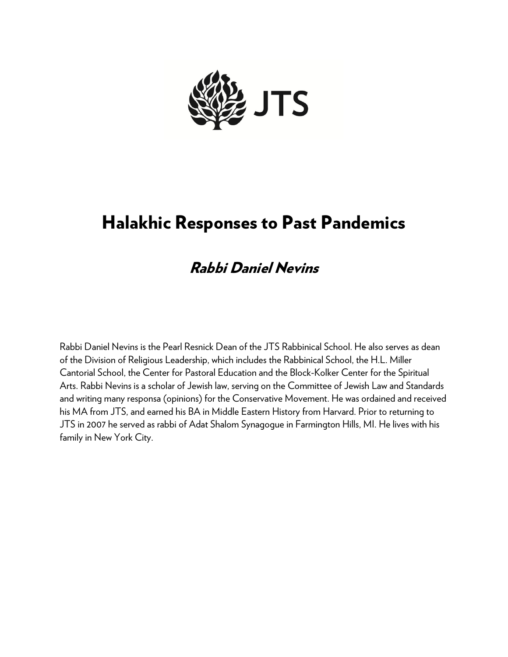

# Halakhic Responses to Past Pandemics

## Rabbi Daniel Nevins

Rabbi Daniel Nevins is the Pearl Resnick Dean of the JTS Rabbinical School. He also serves as dean of the Division of Religious Leadership, which includes the Rabbinical School, the H.L. Miller Cantorial School, the Center for Pastoral Education and the Block-Kolker Center for the Spiritual Arts. Rabbi Nevins is a scholar of Jewish law, serving on the Committee of Jewish Law and Standards and writing many responsa (opinions) for the Conservative Movement. He was ordained and received his MA from JTS, and earned his BA in Middle Eastern History from Harvard. Prior to returning to JTS in 2007 he served as rabbi of Adat Shalom Synagogue in Farmington Hills, MI. He lives with his family in New York City.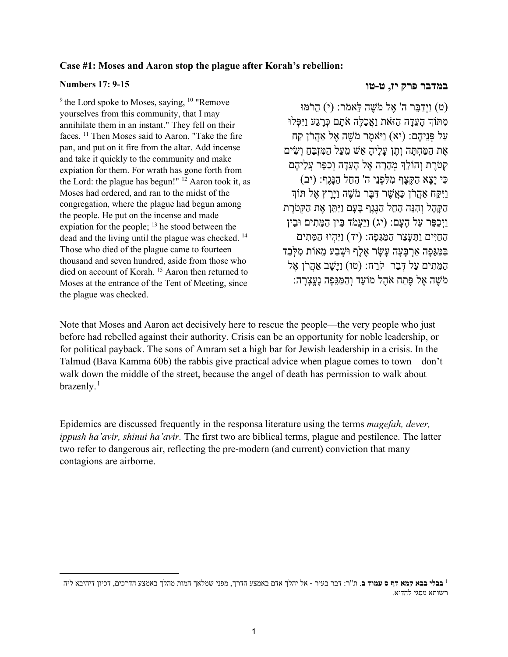### **Case #1: Moses and Aaron stop the plague after Korah's rebellion:**

#### **Numbers 17: 9-15**

 $9$ <sup>9</sup> the Lord spoke to Moses, saying,  $10$  "Remove yourselves from this community, that I may annihilate them in an instant." They fell on their faces. 11 Then Moses said to Aaron, "Take the fire pan, and put on it fire from the altar. Add incense and take it quickly to the community and make expiation for them. For wrath has gone forth from the Lord: the plague has begun!"  $12$  Aaron took it, as Moses had ordered, and ran to the midst of the congregation, where the plague had begun among the people. He put on the incense and made expiation for the people;  $^{13}$  he stood between the dead and the living until the plague was checked. 14 Those who died of the plague came to fourteen thousand and seven hundred, aside from those who died on account of Korah. 15 Aaron then returned to Moses at the entrance of the Tent of Meeting, since the plague was checked.

### **במדבר פרק יז, ט-טו**

(ט) וַיְדַ בֵּר ה' אֶ ל מֹשֶׁ ה לֵּאמֹר: (י) הֵרֹמּוּ מִתּוֹךְ הַעֲדָה הַזֹּאת וַאֲכַלֶּה אֹתָם כְּרַגַע וַיִּפְּלוּ עַל פְּנֵיהֶם: (יא) וַיֹּאמֶר מֹשֶׁה אֶל אַהֲרֹן קַח אֶת הַמַּחָתַּה וְתֵן עַלֶ<sup>י</sup>הַ אֵשׁ מֵעַל הַמִּזְבֵּחַ וְשִׂים קְטֹרֶת וְהוֹלֵךְ מְהֶרָה אֵל הַעֲדָה וְכַפֵּר עֲלֵיהֶם כִּ י יָ צָא הַקֶּצֶף מִ לִּפְ נֵי ה' הֵחֵל הַנָּגֶף: (יב) וַיִּקַּח אַהֲרֹן כַּאֲשֶׁר דָּבֶּר מֹשֶׁה וַיַּרַץ אֵל תּוֹךְ הַקָּהָל וְהִנֵּה הֶחֶל הַנֶּגֶף בַּעֲם וַיִּתֵּן אֶת הַקְּטֹרֵת וַיְכַפֵּר עַל הָעָם: (יג) וַיַּעֲמֹד בֵּין הַמֵּ תִ ים וּבֵין הַחַיִּים וַתֵּ עָצַ ר הַמַּ גֵּפָה: (יד) וַיִּהְ יוּ הַמֵּ תִ ים בּמּגִּפָּה אַרְבַּעַה עַשׂר אַלֶף וּשַׁבַע מַאוֹת מַלְּבַד הַמֵּתִים עַל דְּבַר קֹרַח: (טו) וַיַּשָׁב אֲהָרֹן אֵל מֹשֶׁה אֵל פֶּתַח אֹהֶל מוֹעֵד וְהַמַּגְּפָה נֶעֱצַרַה:

Note that Moses and Aaron act decisively here to rescue the people—the very people who just before had rebelled against their authority. Crisis can be an opportunity for noble leadership, or for political payback. The sons of Amram set a high bar for Jewish leadership in a crisis. In the Talmud (Bava Kamma 60b) the rabbis give practical advice when plague comes to town—don't walk down the middle of the street, because the angel of death has permission to walk about  $brazently.<sup>1</sup>$  $brazently.<sup>1</sup>$  $brazently.<sup>1</sup>$ 

Epidemics are discussed frequently in the responsa literature using the terms *magefah, dever, ippush ha'avir, shinui ha'avir.* The first two are biblical terms, plague and pestilence. The latter two refer to dangerous air, reflecting the pre-modern (and current) conviction that many contagions are airborne.

<span id="page-1-0"></span>**בבלי בבא קמא דף ס עמוד ב**. ת"ר: דבר בעיר - אל יהלך אדם באמצע הדרך, מפני שמלאך המות מהלך באמצע הדרכים, דכיון דיהיבא ליה <sup>1</sup> רשותא מסגי להדיא.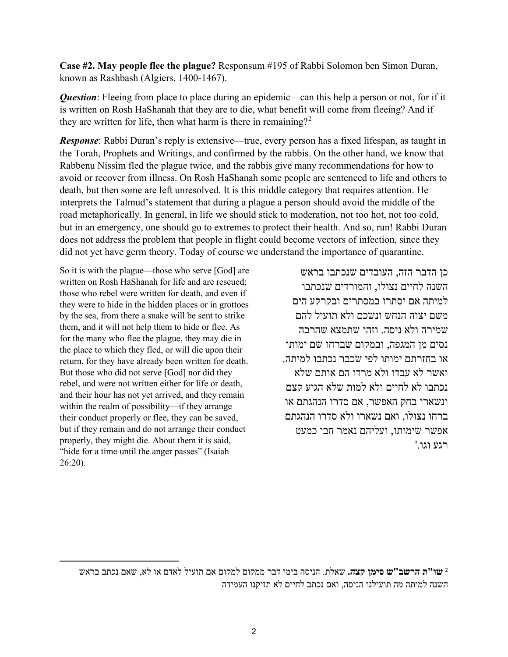**Case #2. May people flee the plague?** Responsum #195 of Rabbi Solomon ben Simon Duran, known as Rashbash (Algiers, 1400-1467).

*Question*: Fleeing from place to place during an epidemic—can this help a person or not, for if it is written on Rosh HaShanah that they are to die, what benefit will come from fleeing? And if they are written for life, then what harm is there in remaining?<sup>[2](#page-2-0)</sup>

*Response*: Rabbi Duran's reply is extensive—true, every person has a fixed lifespan, as taught in the Torah, Prophets and Writings, and confirmed by the rabbis. On the other hand, we know that Rabbenu Nissim fled the plague twice, and the rabbis give many recommendations for how to avoid or recover from illness. On Rosh HaShanah some people are sentenced to life and others to death, but then some are left unresolved. It is this middle category that requires attention. He interprets the Talmud's statement that during a plague a person should avoid the middle of the road metaphorically. In general, in life we should stick to moderation, not too hot, not too cold, but in an emergency, one should go to extremes to protect their health. And so, run! Rabbi Duran does not address the problem that people in flight could become vectors of infection, since they did not yet have germ theory. Today of course we understand the importance of quarantine.

So it is with the plague—those who serve [God] are written on Rosh HaShanah for life and are rescued; those who rebel were written for death, and even if they were to hide in the hidden places or in grottoes by the sea, from there a snake will be sent to strike them, and it will not help them to hide or flee. As for the many who flee the plague, they may die in the place to which they fled, or will die upon their return, for they have already been written for death. But those who did not serve [God] nor did they rebel, and were not written either for life or death, and their hour has not yet arrived, and they remain within the realm of possibility—if they arrange their conduct properly or flee, they can be saved, but if they remain and do not arrange their conduct properly, they might die. About them it is said, "hide for a time until the anger passes" (Isaiah 26:20).

כן הדבר הזה, העובדים שנכתבו בראש השנה לחיים נצולו, והמורדים שנכתבו למיתה אם יסתרו במסתרים ובקרקע הים משם יצוה הנחש ונשכם ולא תועיל להם שמירה ולא ניסה. וזהו שתמצא שהרבה נסים מן המגפה, ובמקום שברחו שם ימותו או בחזרתם ימותו לפי שכבר נכתבו למיתה. ואשר לא עבדו ולא מרדו הם אותם שלא נכתבו לא לחיים ולא למות שלא הגיע קצם ונשארו בחק האפשר, אם סדרו הנהגתם או ברחו נצולו, ואם נשארו ולא סדרו הנהגתם אפשר שימותו, ועליהם נאמר חבי כמעט רגע וגו.'

<span id="page-2-0"></span>**שו"ת הרשב" ש סימן קצה.** שאלת. הניסה בימי דבר ממקום למקום אם תועיל לאדם או לא, שאם נכתב בראש <sup>2</sup> השנה למיתה מה תועילנו הניסה, ואם נכתב לחיים לא תזיקנו העמידה